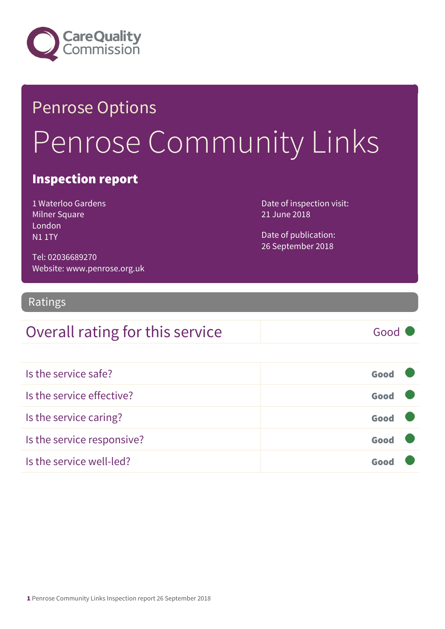

# Penrose Options Penrose Community Links

#### Inspection report

1 Waterloo Gardens Milner Square London N1 1TY

Date of inspection visit: 21 June 2018

Date of publication: 26 September 2018

Tel: 02036689270 Website: www.penrose.org.uk

#### Ratings

#### Overall rating for this service Good

| Is the service safe?       | Good |
|----------------------------|------|
| Is the service effective?  | Good |
| Is the service caring?     | Good |
| Is the service responsive? | Good |
| Is the service well-led?   | Goo  |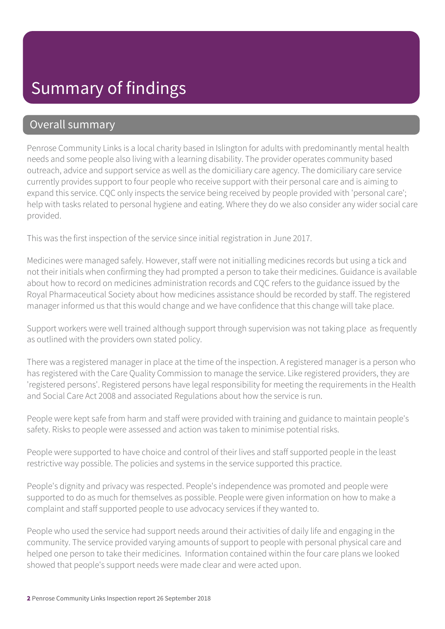#### Overall summary

Penrose Community Links is a local charity based in Islington for adults with predominantly mental health needs and some people also living with a learning disability. The provider operates community based outreach, advice and support service as well as the domiciliary care agency. The domiciliary care service currently provides support to four people who receive support with their personal care and is aiming to expand this service. CQC only inspects the service being received by people provided with 'personal care'; help with tasks related to personal hygiene and eating. Where they do we also consider any wider social care provided.

This was the first inspection of the service since initial registration in June 2017.

Medicines were managed safely. However, staff were not initialling medicines records but using a tick and not their initials when confirming they had prompted a person to take their medicines. Guidance is available about how to record on medicines administration records and CQC refers to the guidance issued by the Royal Pharmaceutical Society about how medicines assistance should be recorded by staff. The registered manager informed us that this would change and we have confidence that this change will take place.

Support workers were well trained although support through supervision was not taking place as frequently as outlined with the providers own stated policy.

There was a registered manager in place at the time of the inspection. A registered manager is a person who has registered with the Care Quality Commission to manage the service. Like registered providers, they are 'registered persons'. Registered persons have legal responsibility for meeting the requirements in the Health and Social Care Act 2008 and associated Regulations about how the service is run.

People were kept safe from harm and staff were provided with training and guidance to maintain people's safety. Risks to people were assessed and action was taken to minimise potential risks.

People were supported to have choice and control of their lives and staff supported people in the least restrictive way possible. The policies and systems in the service supported this practice.

People's dignity and privacy was respected. People's independence was promoted and people were supported to do as much for themselves as possible. People were given information on how to make a complaint and staff supported people to use advocacy services if they wanted to.

People who used the service had support needs around their activities of daily life and engaging in the community. The service provided varying amounts of support to people with personal physical care and helped one person to take their medicines. Information contained within the four care plans we looked showed that people's support needs were made clear and were acted upon.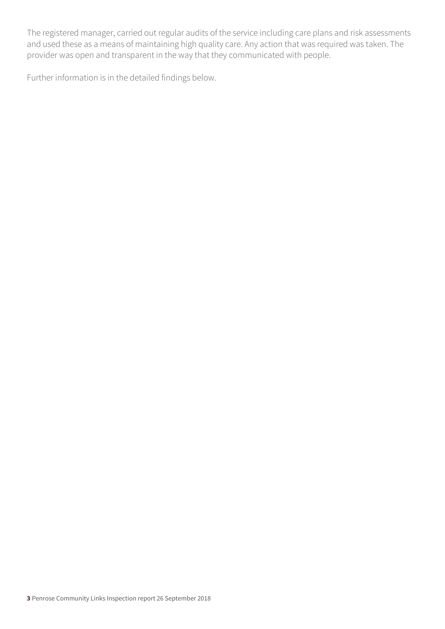The registered manager, carried out regular audits of the service including care plans and risk assessments and used these as a means of maintaining high quality care. Any action that was required was taken. The provider was open and transparent in the way that they communicated with people.

Further information is in the detailed findings below.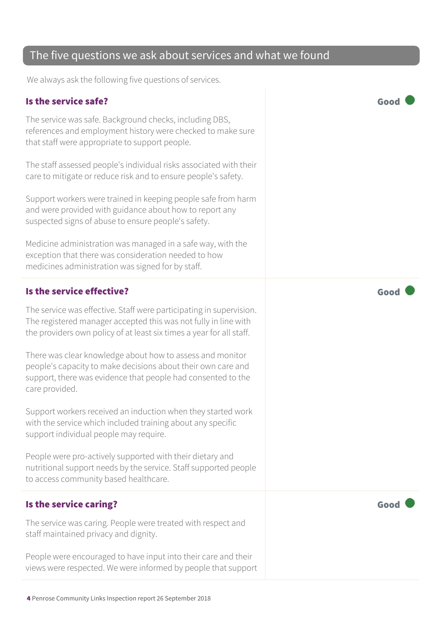#### The five questions we ask about services and what we found

We always ask the following five questions of services.

#### Is the service safe? Good

The service was safe. Background checks, including DBS, references and employment history were checked to make sure that staff were appropriate to support people.

The staff assessed people's individual risks associated with their care to mitigate or reduce risk and to ensure people's safety.

Support workers were trained in keeping people safe from harm and were provided with guidance about how to report any suspected signs of abuse to ensure people's safety.

Medicine administration was managed in a safe way, with the exception that there was consideration needed to how medicines administration was signed for by staff.

#### Is the service effective? Good

The service was effective. Staff were participating in supervision. The registered manager accepted this was not fully in line with the providers own policy of at least six times a year for all staff.

There was clear knowledge about how to assess and monitor people's capacity to make decisions about their own care and support, there was evidence that people had consented to the care provided.

Support workers received an induction when they started work with the service which included training about any specific support individual people may require.

People were pro-actively supported with their dietary and nutritional support needs by the service. Staff supported people to access community based healthcare.

#### Is the service caring? The service caring of the service care  $\sim$  Good

The service was caring. People were treated with respect and staff maintained privacy and dignity.

People were encouraged to have input into their care and their views were respected. We were informed by people that support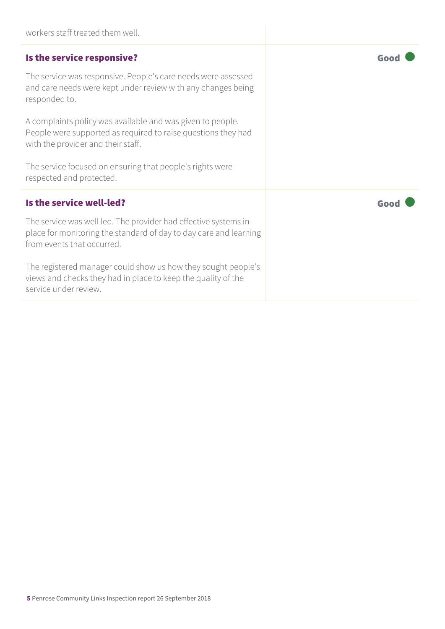| workers staff treated them well.                                                                                                                                   |      |
|--------------------------------------------------------------------------------------------------------------------------------------------------------------------|------|
| Is the service responsive?                                                                                                                                         | Good |
| The service was responsive. People's care needs were assessed<br>and care needs were kept under review with any changes being<br>responded to.                     |      |
| A complaints policy was available and was given to people.<br>People were supported as required to raise questions they had<br>with the provider and their staff.  |      |
| The service focused on ensuring that people's rights were<br>respected and protected.                                                                              |      |
| Is the service well-led?                                                                                                                                           | Good |
| The service was well led. The provider had effective systems in<br>place for monitoring the standard of day to day care and learning<br>from events that occurred. |      |
| The registered manager could show us how they sought people's<br>views and checks they had in place to keep the quality of the<br>service under review.            |      |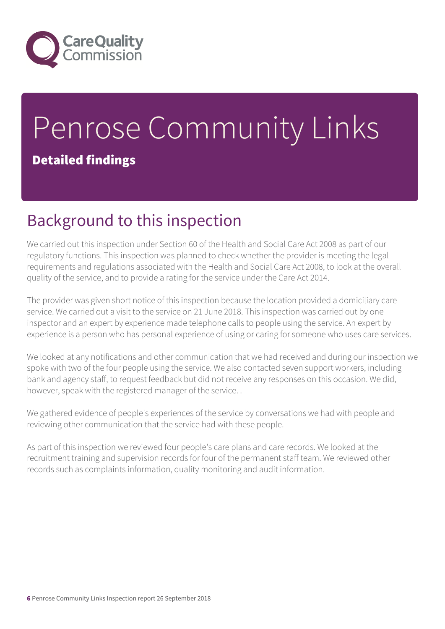

## Penrose Community Links Detailed findings

### Background to this inspection

We carried out this inspection under Section 60 of the Health and Social Care Act 2008 as part of our regulatory functions. This inspection was planned to check whether the provider is meeting the legal requirements and regulations associated with the Health and Social Care Act 2008, to look at the overall quality of the service, and to provide a rating for the service under the Care Act 2014.

The provider was given short notice of this inspection because the location provided a domiciliary care service. We carried out a visit to the service on 21 June 2018. This inspection was carried out by one inspector and an expert by experience made telephone calls to people using the service. An expert by experience is a person who has personal experience of using or caring for someone who uses care services.

We looked at any notifications and other communication that we had received and during our inspection we spoke with two of the four people using the service. We also contacted seven support workers, including bank and agency staff, to request feedback but did not receive any responses on this occasion. We did, however, speak with the registered manager of the service. .

We gathered evidence of people's experiences of the service by conversations we had with people and reviewing other communication that the service had with these people.

As part of this inspection we reviewed four people's care plans and care records. We looked at the recruitment training and supervision records for four of the permanent staff team. We reviewed other records such as complaints information, quality monitoring and audit information.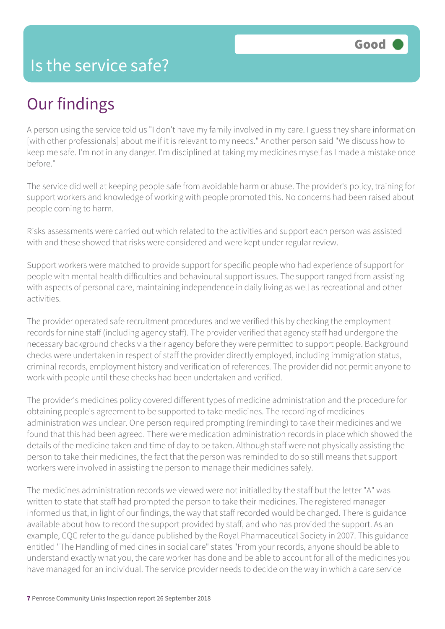### Our findings

A person using the service told us "I don't have my family involved in my care. I guess they share information [with other professionals] about me if it is relevant to my needs." Another person said "We discuss how to keep me safe. I'm not in any danger. I'm disciplined at taking my medicines myself as I made a mistake once before."

The service did well at keeping people safe from avoidable harm or abuse. The provider's policy, training for support workers and knowledge of working with people promoted this. No concerns had been raised about people coming to harm.

Risks assessments were carried out which related to the activities and support each person was assisted with and these showed that risks were considered and were kept under regular review.

Support workers were matched to provide support for specific people who had experience of support for people with mental health difficulties and behavioural support issues. The support ranged from assisting with aspects of personal care, maintaining independence in daily living as well as recreational and other activities.

The provider operated safe recruitment procedures and we verified this by checking the employment records for nine staff (including agency staff). The provider verified that agency staff had undergone the necessary background checks via their agency before they were permitted to support people. Background checks were undertaken in respect of staff the provider directly employed, including immigration status, criminal records, employment history and verification of references. The provider did not permit anyone to work with people until these checks had been undertaken and verified.

The provider's medicines policy covered different types of medicine administration and the procedure for obtaining people's agreement to be supported to take medicines. The recording of medicines administration was unclear. One person required prompting (reminding) to take their medicines and we found that this had been agreed. There were medication administration records in place which showed the details of the medicine taken and time of day to be taken. Although staff were not physically assisting the person to take their medicines, the fact that the person was reminded to do so still means that support workers were involved in assisting the person to manage their medicines safely.

The medicines administration records we viewed were not initialled by the staff but the letter "A" was written to state that staff had prompted the person to take their medicines. The registered manager informed us that, in light of our findings, the way that staff recorded would be changed. There is guidance available about how to record the support provided by staff, and who has provided the support. As an example, CQC refer to the guidance published by the Royal Pharmaceutical Society in 2007. This guidance entitled "The Handling of medicines in social care" states "From your records, anyone should be able to understand exactly what you, the care worker has done and be able to account for all of the medicines you have managed for an individual. The service provider needs to decide on the way in which a care service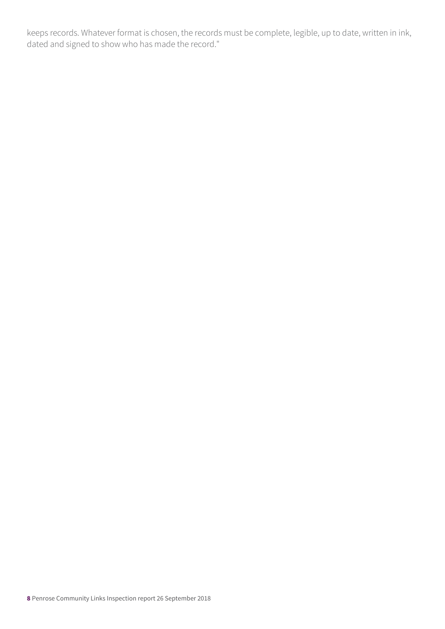keeps records. Whatever format is chosen, the records must be complete, legible, up to date, written in ink, dated and signed to show who has made the record."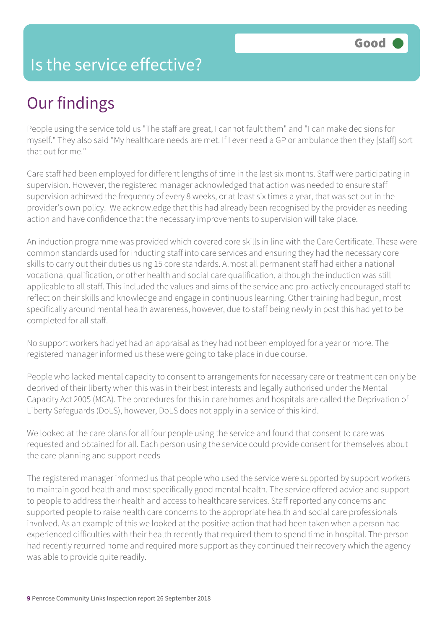### Is the service effective?

### Our findings

People using the service told us "The staff are great, I cannot fault them" and "I can make decisions for myself." They also said "My healthcare needs are met. If I ever need a GP or ambulance then they [staff] sort that out for me."

Care staff had been employed for different lengths of time in the last six months. Staff were participating in supervision. However, the registered manager acknowledged that action was needed to ensure staff supervision achieved the frequency of every 8 weeks, or at least six times a year, that was set out in the provider's own policy. We acknowledge that this had already been recognised by the provider as needing action and have confidence that the necessary improvements to supervision will take place.

An induction programme was provided which covered core skills in line with the Care Certificate. These were common standards used for inducting staff into care services and ensuring they had the necessary core skills to carry out their duties using 15 core standards. Almost all permanent staff had either a national vocational qualification, or other health and social care qualification, although the induction was still applicable to all staff. This included the values and aims of the service and pro-actively encouraged staff to reflect on their skills and knowledge and engage in continuous learning. Other training had begun, most specifically around mental health awareness, however, due to staff being newly in post this had yet to be completed for all staff.

No support workers had yet had an appraisal as they had not been employed for a year or more. The registered manager informed us these were going to take place in due course.

People who lacked mental capacity to consent to arrangements for necessary care or treatment can only be deprived of their liberty when this was in their best interests and legally authorised under the Mental Capacity Act 2005 (MCA). The procedures for this in care homes and hospitals are called the Deprivation of Liberty Safeguards (DoLS), however, DoLS does not apply in a service of this kind.

We looked at the care plans for all four people using the service and found that consent to care was requested and obtained for all. Each person using the service could provide consent for themselves about the care planning and support needs

The registered manager informed us that people who used the service were supported by support workers to maintain good health and most specifically good mental health. The service offered advice and support to people to address their health and access to healthcare services. Staff reported any concerns and supported people to raise health care concerns to the appropriate health and social care professionals involved. As an example of this we looked at the positive action that had been taken when a person had experienced difficulties with their health recently that required them to spend time in hospital. The person had recently returned home and required more support as they continued their recovery which the agency was able to provide quite readily.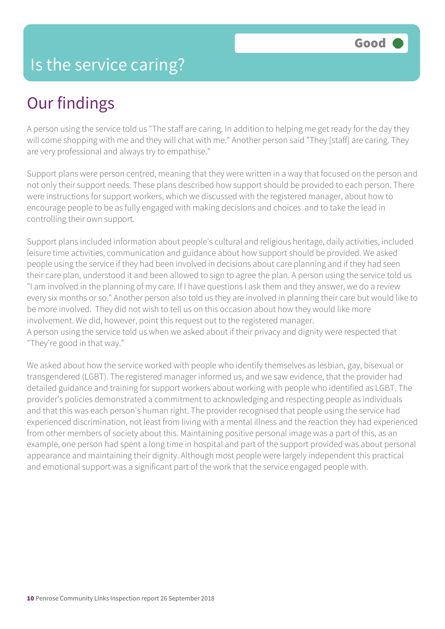### Our findings

A person using the service told us "The staff are caring. In addition to helping me get ready for the day they will come shopping with me and they will chat with me." Another person said "They [staff] are caring. They are very professional and always try to empathise."

Support plans were person centred, meaning that they were written in a way that focused on the person and not only their support needs. These plans described how support should be provided to each person. There were instructions for support workers, which we discussed with the registered manager, about how to encourage people to be as fully engaged with making decisions and choices and to take the lead in controlling their own support.

Support plans included information about people's cultural and religious heritage, daily activities, included leisure time activities, communication and guidance about how support should be provided. We asked people using the service if they had been involved in decisions about care planning and if they had seen their care plan, understood it and been allowed to sign to agree the plan. A person using the service told us "I am involved in the planning of my care. If I have questions I ask them and they answer, we do a review every six months or so." Another person also told us they are involved in planning their care but would like to be more involved. They did not wish to tell us on this occasion about how they would like more involvement. We did, however, point this request out to the registered manager. A person using the service told us when we asked about if their privacy and dignity were respected that "They're good in that way."

We asked about how the service worked with people who identify themselves as lesbian, gay, bisexual or transgendered (LGBT). The registered manager informed us, and we saw evidence, that the provider had detailed guidance and training for support workers about working with people who identified as LGBT. The provider's policies demonstrated a commitment to acknowledging and respecting people as individuals and that this was each person's human right. The provider recognised that people using the service had experienced discrimination, not least from living with a mental illness and the reaction they had experienced from other members of society about this. Maintaining positive personal image was a part of this, as an example, one person had spent a long time in hospital and part of the support provided was about personal appearance and maintaining their dignity. Although most people were largely independent this practical and emotional support was a significant part of the work that the service engaged people with.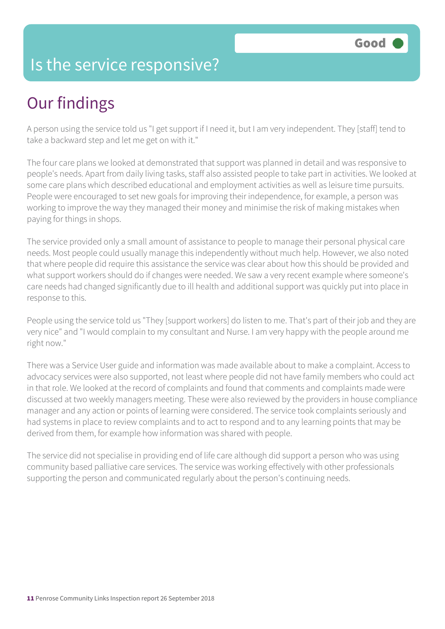#### Is the service responsive?

### Our findings

A person using the service told us "I get support if I need it, but I am very independent. They [staff] tend to take a backward step and let me get on with it."

The four care plans we looked at demonstrated that support was planned in detail and was responsive to people's needs. Apart from daily living tasks, staff also assisted people to take part in activities. We looked at some care plans which described educational and employment activities as well as leisure time pursuits. People were encouraged to set new goals for improving their independence, for example, a person was working to improve the way they managed their money and minimise the risk of making mistakes when paying for things in shops.

The service provided only a small amount of assistance to people to manage their personal physical care needs. Most people could usually manage this independently without much help. However, we also noted that where people did require this assistance the service was clear about how this should be provided and what support workers should do if changes were needed. We saw a very recent example where someone's care needs had changed significantly due to ill health and additional support was quickly put into place in response to this.

People using the service told us "They [support workers] do listen to me. That's part of their job and they are very nice" and "I would complain to my consultant and Nurse. I am very happy with the people around me right now."

There was a Service User guide and information was made available about to make a complaint. Access to advocacy services were also supported, not least where people did not have family members who could act in that role. We looked at the record of complaints and found that comments and complaints made were discussed at two weekly managers meeting. These were also reviewed by the providers in house compliance manager and any action or points of learning were considered. The service took complaints seriously and had systems in place to review complaints and to act to respond and to any learning points that may be derived from them, for example how information was shared with people.

The service did not specialise in providing end of life care although did support a person who was using community based palliative care services. The service was working effectively with other professionals supporting the person and communicated regularly about the person's continuing needs.